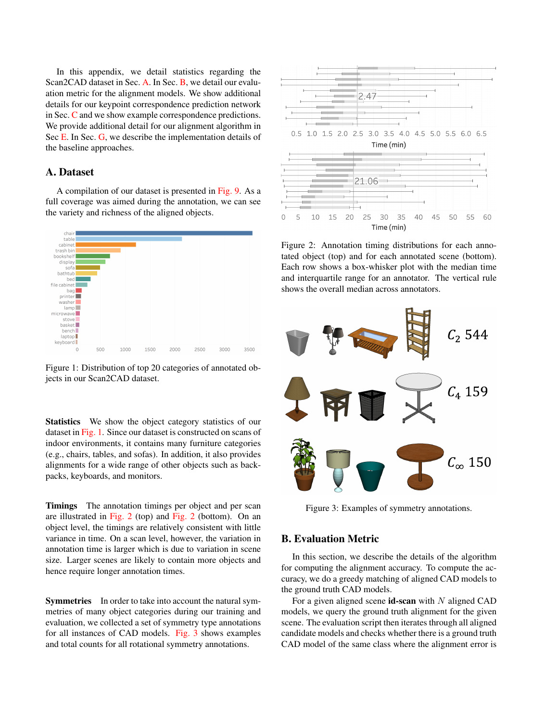In this appendix, we detail statistics regarding the Scan2CAD dataset in Sec. [A.](#page-0-0) In Sec. [B,](#page-0-1) we detail our evaluation metric for the alignment models. We show additional details for our keypoint correspondence prediction network in Sec. [C](#page-1-0) and we show example correspondence predictions. We provide additional detail for our alignment algorithm in Sec [E.](#page-2-0) In Sec. [G,](#page-2-1) we describe the implementation details of the baseline approaches.

### <span id="page-0-0"></span>A. Dataset

A compilation of our dataset is presented in [Fig. 9.](#page-5-0) As a full coverage was aimed during the annotation, we can see the variety and richness of the aligned objects.

<span id="page-0-2"></span>

Figure 1: Distribution of top 20 categories of annotated objects in our Scan2CAD dataset.

**Statistics** We show the object category statistics of our dataset in [Fig. 1.](#page-0-2) Since our dataset is constructed on scans of indoor environments, it contains many furniture categories (e.g., chairs, tables, and sofas). In addition, it also provides alignments for a wide range of other objects such as backpacks, keyboards, and monitors.

Timings The annotation timings per object and per scan are illustrated in [Fig. 2](#page-0-3) (top) and [Fig. 2](#page-0-3) (bottom). On an object level, the timings are relatively consistent with little variance in time. On a scan level, however, the variation in annotation time is larger which is due to variation in scene size. Larger scenes are likely to contain more objects and hence require longer annotation times.

Symmetries In order to take into account the natural symmetries of many object categories during our training and evaluation, we collected a set of symmetry type annotations for all instances of CAD models. [Fig. 3](#page-0-4) shows examples and total counts for all rotational symmetry annotations.

<span id="page-0-3"></span>

Figure 2: Annotation timing distributions for each annotated object (top) and for each annotated scene (bottom). Each row shows a box-whisker plot with the median time and interquartile range for an annotator. The vertical rule shows the overall median across annotators.

<span id="page-0-4"></span>

Figure 3: Examples of symmetry annotations.

#### <span id="page-0-1"></span>B. Evaluation Metric

In this section, we describe the details of the algorithm for computing the alignment accuracy. To compute the accuracy, we do a greedy matching of aligned CAD models to the ground truth CAD models.

For a given aligned scene  $id$ -scan with N aligned CAD models, we query the ground truth alignment for the given scene. The evaluation script then iterates through all aligned candidate models and checks whether there is a ground truth CAD model of the same class where the alignment error is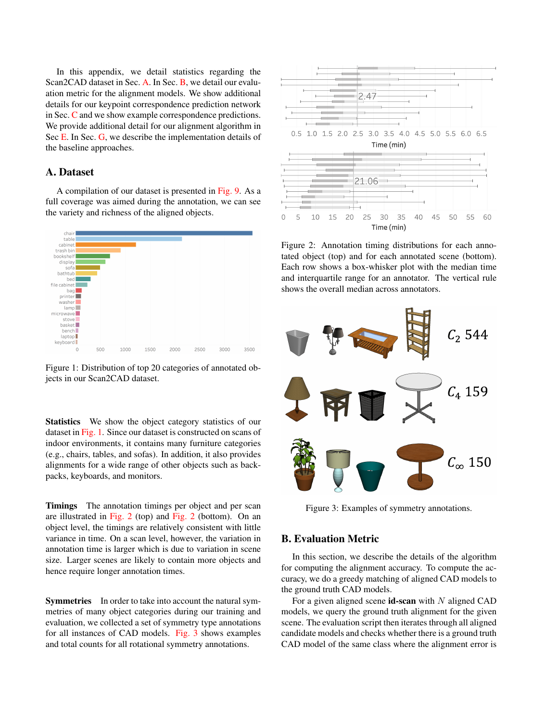

<span id="page-1-1"></span>Algorithm 1: Pseudo code of our evaluation benchmark. id, cat, pose denotes the id, category label and 9DoF alignment transformation for a particular CAD model. Note that the rotation distance function takes symmetries into account.

below the given bounds; if one is found, then the counter (of positive alignments) is incremented and the respective ground truth CAD model is removed from the ground truth pool. See [Alg. 1](#page-1-1) for the pseudo-code.

#### <span id="page-1-0"></span>C. Correspondence Prediction Network

Network details The details of the building blocks for our correspondence prediction network are depicted in [Fig. 4.](#page-1-2) See Figure 4 of the main paper for the full architecture. We introduce the following blocks:

ConvBlocks are the most atomic blocks and consist of a sequence of Conv3-BatchNorm-ReLU layers as commonly found in other literature.

ResBlocks are essentially residual skip connecting layers.

BigBlocks contain two ResBlocks in succession.

Training curves [Fig. 5](#page-1-3) shows how much data is required for training the alignment approach. The curves show predicted compatibility scores of our network. We train our

<span id="page-1-2"></span>

Figure 4: CNN building blocks for our Scan2CAD architecture. K, S, C stand for *kernel-size*, *stride* and *num-channels* respectively.

3D CNN approach with different numbers of training samples (full, half and quarter of the dataset), and show both training and validation curves for each of the three experiments. When using only a quarter or half of the dataset, we see severe overfitting. This implies that our entire dataset provides significantly better generalization.

<span id="page-1-3"></span>**Compatibility Prediction Training Curve** 



Figure 5: Training and validation curves for varying training data sizes showing the probability score predictions. Experiments are carried out with full, half, and a quarter of the data set size. We see severe overfitting for half and quarter dataset training experiments, while our full training corpus mitigates overfitting.

In [Fig. 6,](#page-2-2) we show the Precision-recall curve of the compatibility prediction of a our ablations (see Sec. 7.1 in the main paper). The PR-curves underline the strength of our best preforming network variation.

Correspondence predictions Visual results of the corre-spondence prediction are shown in [Fig. 8.](#page-4-0) One can see that our correspondence prediction network predicts as well symmetry-equivalent correspondences. The scan input with a voxel resolution of 3cm and a grid dimension of 64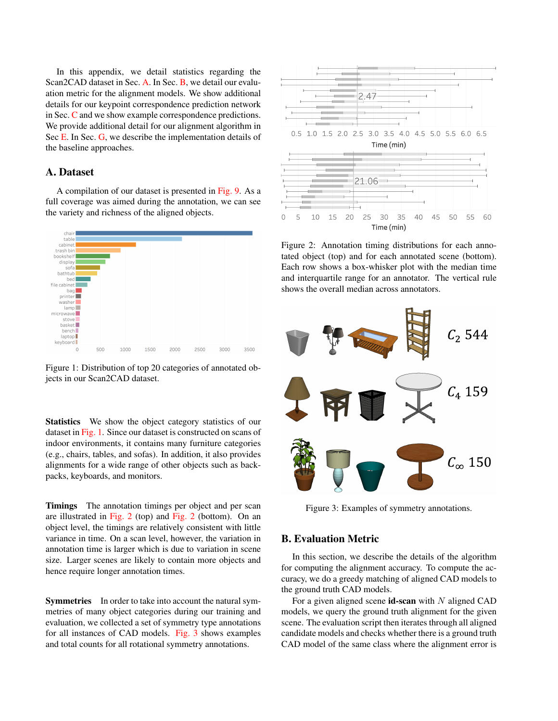<span id="page-2-2"></span>

Figure 6: Precision-recall curve of our compatibility score predictions.

can cover 1.92m per dimension. A larger receptive field is needed for large objects in order infer correspondences from a more global semantic context (see left-hand side first and second row.).

### D. Alignment Error Analysis

Our alignment results have different sensibility for each parameter block (translation, rotation, scale). In order to gauge the stringency of each parameter block we varied the threshold for one parameter block and held the other two constant at the default value (see [Fig. 7\)](#page-3-0). We observe that for the default thresholds  $\epsilon_t = 0.2$ m,  $\epsilon_r = 20$ ,  $\epsilon_s = 20\%$ all thresholds

### <span id="page-2-0"></span>E. Alignment Algorithm Details

In order to remove misaligned objects, we prune objects after the alignment optimization based on the known free space of the given input scan. This is particularly important for the unconstrained ('in-the-wild') scenario where the set of ground truth CAD models to be aligned is not given as part of the input. For a given candidate transformation  $T_m$ (as described in Sec. 6 in the main paper), we compute:

$$
c = \frac{\sum_{x}^{\Omega_{\text{CCupied}}^{\text{occupied}}} C_{\text{scan}}^{\text{seen}} (T_{\text{world/ box,scan}} T_m^{-1} T_{\text{vox/ world,CAD}} x)^2}{j \text{CCap}}}{j \text{CCap}}
$$
  
\ncapied = fx 2  $\text{CAD } j$   $\text{CAD } x$   $\leq 1g$   
\n $\text{scan} = fx 2 \text{ can } j$   $\text{O}_{\text{CCAD}}(x) < 1g$   
\n $\text{seen} = fx 2 \text{ scan } j$   $\text{O}_{\text{scan}}(x) > \tau g$   
\n $C_{\text{scan}}^{\text{seen}}(x) = O_{\text{scan}}(x) \text{ if } x 2 \text{ seen else 0}$ 

where  $T_m$ <sup>1</sup> defines the transformation from CAD to scan, defines a voxel grid space ( $\mathbb{N}^3$ ),  $\tau$  is the truncation dis-

tance used in volumetric fusion (we use  $\tau = 15$ cm), and  $\overline{O}$  are look-ups into the signed distance function or distance functions for the scan or CAD model. We also require that

at least 30% of the CAD surface voxels  $\frac{\text{occupied}}{\text{CAD}}$  project into seen space of the scan voxel grid seen. Finally, we rank all alignments (of various models) per scene w.r.t. their confidence and prune all lower ranked models that are closer than 0.3m to a higher ranked model.

# F. Alignment Optimization Analysis: Comparison to RANSAC

In [Tab. 1,](#page-2-3) we additionally demonstrate the efficacy of our new alignment approach compared to alignment by RANSAC (using our predicted heatmap correspondences). Our alignment via heatmap optimization is more robust to outliers while also incorporating symmetries, resulting in significantly improved performance.

<span id="page-2-3"></span>

| Method                           | avg. acc. in $%$ |
|----------------------------------|------------------|
| Our Heatmap CNN + RANSAC         | 18.27            |
| Our Heatmap CNN + Heatmap optim. | 31.68            |

Table 1: Our heatmap optimization for alignment in comparison to RANSAC. The input correspondences for RANSAC are provided by the maximum response of the predicted heatmap.

### <span id="page-2-1"></span>G. Baseline Method Details

In the following, we provide additional details for the used baseline approaches. FPFH and SHOT work on point clouds and compute geometric properties between points within a support region around a keypoint. We use the implementation provided in the Point Cloud Library [\[2\]](#page-3-1).

The method presented by Li *et al*. [\[1\]](#page-3-2) takes the free space around a keypoint into account to compute a descriptor distance between a keypoint in scan and another keypoint in a CAD object. Here, we use the original implementation from the authors and modified it such that it works within a consistent evaluation framework together with the other methods. However, since we are not restricted to real-time constraints, we neglect the computation of the geometric primitives around the keypoints, which helps to find good initial rotation estimations. Instead, we computed all 36 rotation variants to find the smallest distance. We also replace the original 1-point RANSAC with another RANSAC as described below.

3DMatch [\[3\]](#page-3-3) takes as input a 3D volumetric patch from a TDF around a keypoint and computes via a series of 3D convolutions and max-poolings a 512 dimensional feature vector. In order to train 3DMatch, we assemble a correspondence dataset as described in Sec. 5.3 in the main paper. We train the network for 25 epochs using the original contrastive loss with a margin of 1. During test time,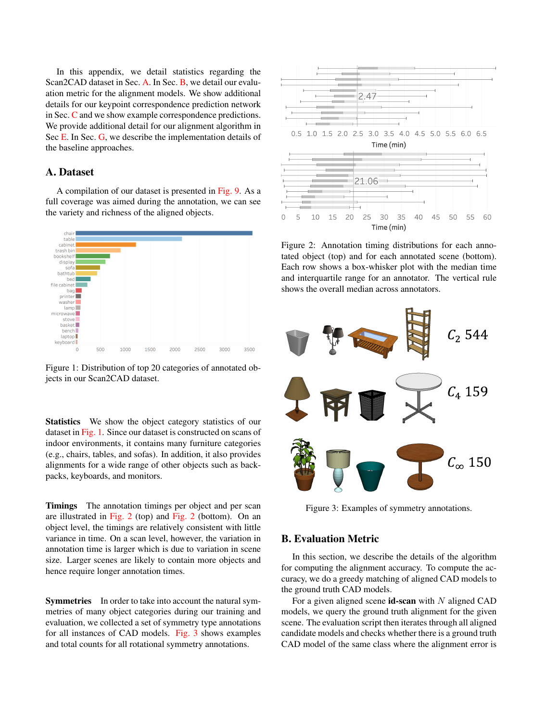<span id="page-3-0"></span>

Figure 7: Accuracy vs. varying thresholds for translation (left), rotation (middle) and scale (right). Only one threshold is varied whereas the remaining ones were held constant at their default value either  $\epsilon_t = 0.2$ m,  $\epsilon_r = 20$ ,  $\epsilon_s = 20\%$ .

we extract the 3D patch around a detected Harris keypoint of both CAD object and scan and separately compute their feature vector. In addition to the evaluation in the main paper, for 3DMatch, we additionally show the performance of 3DMatch when trained only on real only (scan-scan correspondences from ScanNet), as shown in [Tab. 2.](#page-3-4) This suffers dramatically in matching the different characteristics of scan-CAD at test time. Our approach to predict scan-CAD heatmap correspondences results in significantly higher alignment accuracy compared to both 3DMatch trained on scan-CAD as well as scan-scan.

For each method, we compute the feature descriptors for all keypoints in the scan and the CAD objects, respectively. We then find correspondences between pairs of keypoints if their height difference is less than  $0.8m$  and if the L2 distance between the descriptors is below a certain threshold. Due to potential re-occurring structures in scan and CAD we select the top-8 correspondences with the smallest descriptor distances for each keypoint in the scan.

After establishing potential correspondences between the scan and a CAD object, we use a RANSAC outlier rejection method to filter out wrong correspondences and find a suitable transformation to align the CAD object within the scene. During each RANSAC iteration, we estimate the translation parameters and the up-right rotation by selecting 3 random correspondences. If the transformation estimate gives a higher number of inliers than previous estimates, we keep this transformation. The threshold of the Euclidean distance for which a correspondence is considered as an inlier is set to 0.20m. We use a fixed scale determined by the class average scale from our Scan2CAD train set. For a given registration for a specific CAD model, we mark off all keypoints in the scan which were considered as inliers as well as all scan keypoints which are located inside the bounding box of the aligned CAD model. These marked keypoints will be ignored for the registration of later CAD models.

To find optimal parameter for FPFH, SHOT, and Li *et al*., we construct an additional correspondence benchmark and ran a hyperparameter search based on the validation set.

<span id="page-3-4"></span>

| Method                              | avg. acc. in $%$ |
|-------------------------------------|------------------|
| 3D Match + ScanNet (only real data) | 0.26             |
| 3D Match + our dataset              | 10.29            |
| Our method $+$ our dataset          | 31.68            |

Table 2: Comparison to 3DMatch trained with only real data, trained on our data, and our result; evaluation on our test set.

## References

- <span id="page-3-2"></span>[1] Y. Li, A. Dai, L. Guibas, and M. Nießner. Database-assisted object retrieval for real-time 3D reconstruction. In *Computer Graphics Forum*, volume 34, pages 435–446. Wiley Online Library, 2015.
- <span id="page-3-1"></span>[2] R. B. Rusu and S. Cousins. 3d is here: Point cloud library (pcl). In *Robotics and automation (ICRA), 2011 IEEE International Conference on*, pages 1–4. IEEE, 2011.
- <span id="page-3-3"></span>[3] A. Zeng, S. Song, M. Nießner, M. Fisher, J. Xiao, and T. Funkhouser. 3dmatch: Learning local geometric descriptors from rgb-d reconstructions. In *Computer Vision and Pattern Recognition (CVPR), 2017 IEEE Conference on*, pages 199–208. IEEE, 2017.